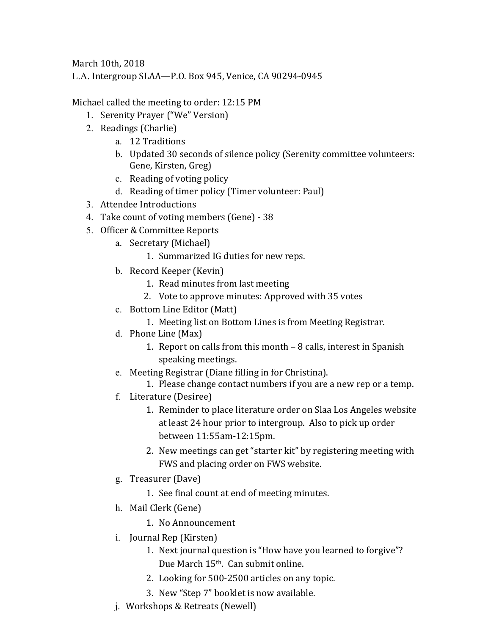March 10th, 2018

L.A. Intergroup SLAA—P.O. Box 945, Venice, CA 90294-0945

Michael called the meeting to order: 12:15 PM

- 1. Serenity Prayer ("We" Version)
- 2. Readings (Charlie)
	- a. 12 Traditions
	- b. Updated 30 seconds of silence policy (Serenity committee volunteers: Gene, Kirsten, Greg)
	- c. Reading of voting policy
	- d. Reading of timer policy (Timer volunteer: Paul)
- 3. Attendee Introductions
- 4. Take count of voting members (Gene) 38
- 5. Officer & Committee Reports
	- a. Secretary (Michael)
		- 1. Summarized IG duties for new reps.
	- b. Record Keeper (Kevin)
		- 1. Read minutes from last meeting
		- 2. Vote to approve minutes: Approved with 35 votes
	- c. Bottom Line Editor (Matt)
		- 1. Meeting list on Bottom Lines is from Meeting Registrar.
	- d. Phone Line (Max)
		- 1. Report on calls from this month  $-8$  calls, interest in Spanish speaking meetings.
	- e. Meeting Registrar (Diane filling in for Christina).
		- 1. Please change contact numbers if you are a new rep or a temp.
	- f. Literature (Desiree)
		- 1. Reminder to place literature order on Slaa Los Angeles website at least 24 hour prior to intergroup. Also to pick up order between 11:55am‐12:15pm.
		- 2. New meetings can get "starter kit" by registering meeting with FWS and placing order on FWS website.
	- g. Treasurer (Dave)
		- 1. See final count at end of meeting minutes.
	- h. Mail Clerk (Gene)
		- 1. No Announcement
	- i. Journal Rep (Kirsten)
		- 1. Next journal question is "How have you learned to forgive"? Due March 15<sup>th</sup>. Can submit online.
		- 2. Looking for 500-2500 articles on any topic.
		- 3. New "Step 7" booklet is now available.
	- j. Workshops & Retreats (Newell)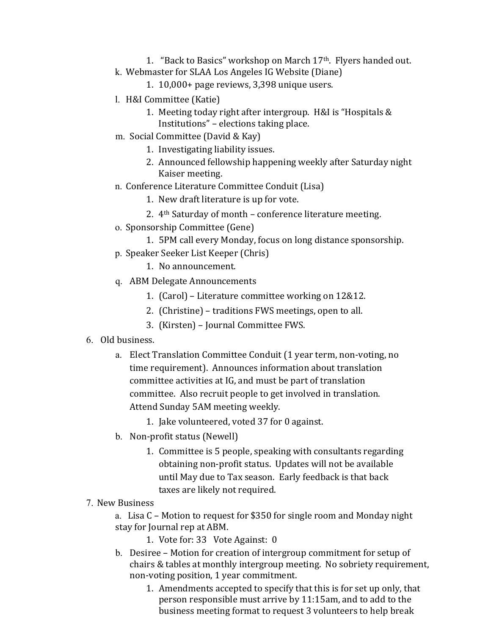- 1. "Back to Basics" workshop on March 17<sup>th</sup>. Flyers handed out.
- k. Webmaster for SLAA Los Angeles IG Website (Diane)
	- 1.  $10,000+$  page reviews,  $3,398$  unique users.
- 1. H&I Committee (Katie)
	- 1. Meeting today right after intergroup. H&I is "Hospitals  $&$ Institutions" – elections taking place.
- m. Social Committee (David & Kay)
	- 1. Investigating liability issues.
	- 2. Announced fellowship happening weekly after Saturday night Kaiser meeting.
- n. Conference Literature Committee Conduit (Lisa)
	- 1. New draft literature is up for vote.
	- 2.  $4<sup>th</sup>$  Saturday of month conference literature meeting.
- o. Sponsorship Committee (Gene)
	- 1. 5PM call every Monday, focus on long distance sponsorship.
- p. Speaker Seeker List Keeper (Chris)
	- 1. No announcement.
- q. ABM Delegate Announcements
	- 1. (Carol) Literature committee working on 12&12.
	- 2. (Christine) traditions FWS meetings, open to all.
	- 3. (Kirsten) Journal Committee FWS.
- 6. Old business.
	- a. Elect Translation Committee Conduit (1 year term, non-voting, no time requirement). Announces information about translation committee activities at IG, and must be part of translation committee. Also recruit people to get involved in translation. Attend Sunday 5AM meeting weekly.
		- 1. Jake volunteered, voted 37 for 0 against.
	- b. Non-profit status (Newell)
		- 1. Committee is 5 people, speaking with consultants regarding obtaining non-profit status. Updates will not be available until May due to Tax season. Early feedback is that back taxes are likely not required.
- 7. New Business

a. Lisa C - Motion to request for \$350 for single room and Monday night stay for Journal rep at ABM.

- 1. Vote for: 33 Vote Against: 0
- b. Desiree Motion for creation of intergroup commitment for setup of chairs & tables at monthly intergroup meeting. No sobriety requirement, non-voting position, 1 year commitment.
	- 1. Amendments accepted to specify that this is for set up only, that person responsible must arrive by  $11:15$ am, and to add to the business meeting format to request 3 volunteers to help break